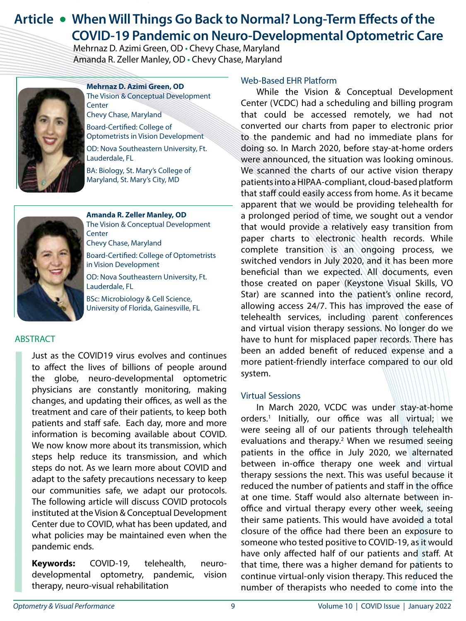# **Article • When Will Things Go Back to Normal? Long-Term Effects of the COVID-19 Pandemic on Neuro-Developmental Optometric Care**

Mehrnaz D. Azimi Green, OD • Chevy Chase, Maryland Amanda R. Zeller Manley, OD • Chevy Chase, Maryland



**Mehrnaz D. Azimi Green, OD** The Vision & Conceptual Development **Center** Chevy Chase, Maryland

Board-Certified: College of Optometrists in Vision Development

OD: Nova Southeastern University, Ft. Lauderdale, FL

BA: Biology, St. Mary's College of Maryland, St. Mary's City, MD



**Amanda R. Zeller Manley, OD** The Vision & Conceptual Development **Center** Chevy Chase, Maryland Board-Certified: College of Optometrists in Vision Development OD: Nova Southeastern University, Ft.

Lauderdale, FL BSc: Microbiology & Cell Science,

University of Florida, Gainesville, FL

### ABSTRACT

Just as the COVID19 virus evolves and continues to affect the lives of billions of people around the globe, neuro-developmental optometric physicians are constantly monitoring, making changes, and updating their offices, as well as the treatment and care of their patients, to keep both patients and staff safe. Each day, more and more information is becoming available about COVID. We now know more about its transmission, which steps help reduce its transmission, and which steps do not. As we learn more about COVID and adapt to the safety precautions necessary to keep our communities safe, we adapt our protocols. The following article will discuss COVID protocols instituted at the Vision & Conceptual Development Center due to COVID, what has been updated, and what policies may be maintained even when the pandemic ends.

**Keywords:** COVID-19, telehealth, neurodevelopmental optometry, pandemic, vision therapy, neuro-visual rehabilitation

#### Web-Based EHR Platform

While the Vision & Conceptual Development Center (VCDC) had a scheduling and billing program that could be accessed remotely, we had not converted our charts from paper to electronic prior to the pandemic and had no immediate plans for doing so. In March 2020, before stay-at-home orders were announced, the situation was looking ominous. We scanned the charts of our active vision therapy patients into a HIPAA-compliant, cloud-based platform that staff could easily access from home. As it became apparent that we would be providing telehealth for a prolonged period of time, we sought out a vendor that would provide a relatively easy transition from paper charts to electronic health records. While complete transition is an ongoing process, we switched vendors in July 2020, and it has been more beneficial than we expected. All documents, even those created on paper (Keystone Visual Skills, VO Star) are scanned into the patient's online record, allowing access 24/7. This has improved the ease of telehealth services, including parent conferences and virtual vision therapy sessions. No longer do we have to hunt for misplaced paper records. There has been an added benefit of reduced expense and a more patient-friendly interface compared to our old system.

#### Virtual Sessions

In March 2020, VCDC was under stay-at-home orders.1 Initially, our office was all virtual; we were seeing all of our patients through telehealth evaluations and therapy.<sup>2</sup> When we resumed seeing patients in the office in July 2020, we alternated between in-office therapy one week and virtual therapy sessions the next. This was useful because it reduced the number of patients and staff in the office at one time. Staff would also alternate between inoffice and virtual therapy every other week, seeing their same patients. This would have avoided a total closure of the office had there been an exposure to someone who tested positive to COVID-19, as it would have only affected half of our patients and staff. At that time, there was a higher demand for patients to continue virtual-only vision therapy. This reduced the number of therapists who needed to come into the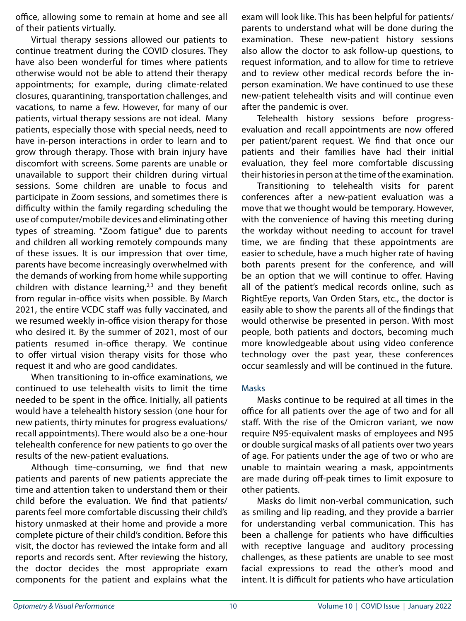office, allowing some to remain at home and see all of their patients virtually.

Virtual therapy sessions allowed our patients to continue treatment during the COVID closures. They have also been wonderful for times where patients otherwise would not be able to attend their therapy appointments; for example, during climate-related closures, quarantining, transportation challenges, and vacations, to name a few. However, for many of our patients, virtual therapy sessions are not ideal. Many patients, especially those with special needs, need to have in-person interactions in order to learn and to grow through therapy. Those with brain injury have discomfort with screens. Some parents are unable or unavailable to support their children during virtual sessions. Some children are unable to focus and participate in Zoom sessions, and sometimes there is difficulty within the family regarding scheduling the use of computer/mobile devices and eliminating other types of streaming. "Zoom fatigue" due to parents and children all working remotely compounds many of these issues. It is our impression that over time, parents have become increasingly overwhelmed with the demands of working from home while supporting children with distance learning, $2,3$  and they benefit from regular in-office visits when possible. By March 2021, the entire VCDC staff was fully vaccinated, and we resumed weekly in-office vision therapy for those who desired it. By the summer of 2021, most of our patients resumed in-office therapy. We continue to offer virtual vision therapy visits for those who request it and who are good candidates.

When transitioning to in-office examinations, we continued to use telehealth visits to limit the time needed to be spent in the office. Initially, all patients would have a telehealth history session (one hour for new patients, thirty minutes for progress evaluations/ recall appointments). There would also be a one-hour telehealth conference for new patients to go over the results of the new-patient evaluations.

Although time-consuming, we find that new patients and parents of new patients appreciate the time and attention taken to understand them or their child before the evaluation. We find that patients/ parents feel more comfortable discussing their child's history unmasked at their home and provide a more complete picture of their child's condition. Before this visit, the doctor has reviewed the intake form and all reports and records sent. After reviewing the history, the doctor decides the most appropriate exam components for the patient and explains what the exam will look like. This has been helpful for patients/ parents to understand what will be done during the examination. These new-patient history sessions also allow the doctor to ask follow-up questions, to request information, and to allow for time to retrieve and to review other medical records before the inperson examination. We have continued to use these new-patient telehealth visits and will continue even after the pandemic is over.

Telehealth history sessions before progressevaluation and recall appointments are now offered per patient/parent request. We find that once our patients and their families have had their initial evaluation, they feel more comfortable discussing their histories in person at the time of the examination.

Transitioning to telehealth visits for parent conferences after a new-patient evaluation was a move that we thought would be temporary. However, with the convenience of having this meeting during the workday without needing to account for travel time, we are finding that these appointments are easier to schedule, have a much higher rate of having both parents present for the conference, and will be an option that we will continue to offer. Having all of the patient's medical records online, such as RightEye reports, Van Orden Stars, etc., the doctor is easily able to show the parents all of the findings that would otherwise be presented in person. With most people, both patients and doctors, becoming much more knowledgeable about using video conference technology over the past year, these conferences occur seamlessly and will be continued in the future.

### Masks

Masks continue to be required at all times in the office for all patients over the age of two and for all staff. With the rise of the Omicron variant, we now require N95-equivalent masks of employees and N95 or double surgical masks of all patients over two years of age. For patients under the age of two or who are unable to maintain wearing a mask, appointments are made during off-peak times to limit exposure to other patients.

Masks do limit non-verbal communication, such as smiling and lip reading, and they provide a barrier for understanding verbal communication. This has been a challenge for patients who have difficulties with receptive language and auditory processing challenges, as these patients are unable to see most facial expressions to read the other's mood and intent. It is difficult for patients who have articulation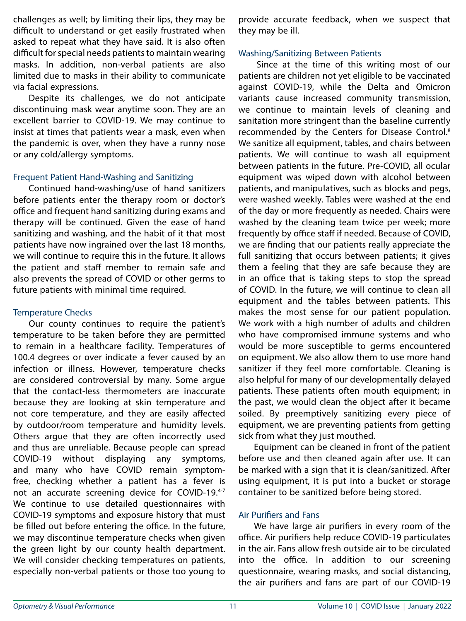challenges as well; by limiting their lips, they may be difficult to understand or get easily frustrated when asked to repeat what they have said. It is also often difficult for special needs patients to maintain wearing masks. In addition, non-verbal patients are also limited due to masks in their ability to communicate via facial expressions.

Despite its challenges, we do not anticipate discontinuing mask wear anytime soon. They are an excellent barrier to COVID-19. We may continue to insist at times that patients wear a mask, even when the pandemic is over, when they have a runny nose or any cold/allergy symptoms.

### Frequent Patient Hand-Washing and Sanitizing

Continued hand-washing/use of hand sanitizers before patients enter the therapy room or doctor's office and frequent hand sanitizing during exams and therapy will be continued. Given the ease of hand sanitizing and washing, and the habit of it that most patients have now ingrained over the last 18 months, we will continue to require this in the future. It allows the patient and staff member to remain safe and also prevents the spread of COVID or other germs to future patients with minimal time required.

#### Temperature Checks

Our county continues to require the patient's temperature to be taken before they are permitted to remain in a healthcare facility. Temperatures of 100.4 degrees or over indicate a fever caused by an infection or illness. However, temperature checks are considered controversial by many. Some argue that the contact-less thermometers are inaccurate because they are looking at skin temperature and not core temperature, and they are easily affected by outdoor/room temperature and humidity levels. Others argue that they are often incorrectly used and thus are unreliable. Because people can spread COVID-19 without displaying any symptoms, and many who have COVID remain symptomfree, checking whether a patient has a fever is not an accurate screening device for COVID-19.4-7 We continue to use detailed questionnaires with COVID-19 symptoms and exposure history that must be filled out before entering the office. In the future, we may discontinue temperature checks when given the green light by our county health department. We will consider checking temperatures on patients, especially non-verbal patients or those too young to

provide accurate feedback, when we suspect that they may be ill.

#### Washing/Sanitizing Between Patients

 Since at the time of this writing most of our patients are children not yet eligible to be vaccinated against COVID-19, while the Delta and Omicron variants cause increased community transmission, we continue to maintain levels of cleaning and sanitation more stringent than the baseline currently recommended by the Centers for Disease Control.<sup>8</sup> We sanitize all equipment, tables, and chairs between patients. We will continue to wash all equipment between patients in the future. Pre-COVID, all ocular equipment was wiped down with alcohol between patients, and manipulatives, such as blocks and pegs, were washed weekly. Tables were washed at the end of the day or more frequently as needed. Chairs were washed by the cleaning team twice per week; more frequently by office staff if needed. Because of COVID, we are finding that our patients really appreciate the full sanitizing that occurs between patients; it gives them a feeling that they are safe because they are in an office that is taking steps to stop the spread of COVID. In the future, we will continue to clean all equipment and the tables between patients. This makes the most sense for our patient population. We work with a high number of adults and children who have compromised immune systems and who would be more susceptible to germs encountered on equipment. We also allow them to use more hand sanitizer if they feel more comfortable. Cleaning is also helpful for many of our developmentally delayed patients. These patients often mouth equipment; in the past, we would clean the object after it became soiled. By preemptively sanitizing every piece of equipment, we are preventing patients from getting sick from what they just mouthed.

Equipment can be cleaned in front of the patient before use and then cleaned again after use. It can be marked with a sign that it is clean/sanitized. After using equipment, it is put into a bucket or storage container to be sanitized before being stored.

### Air Purifiers and Fans

We have large air purifiers in every room of the office. Air purifiers help reduce COVID-19 particulates in the air. Fans allow fresh outside air to be circulated into the office. In addition to our screening questionnaire, wearing masks, and social distancing, the air purifiers and fans are part of our COVID-19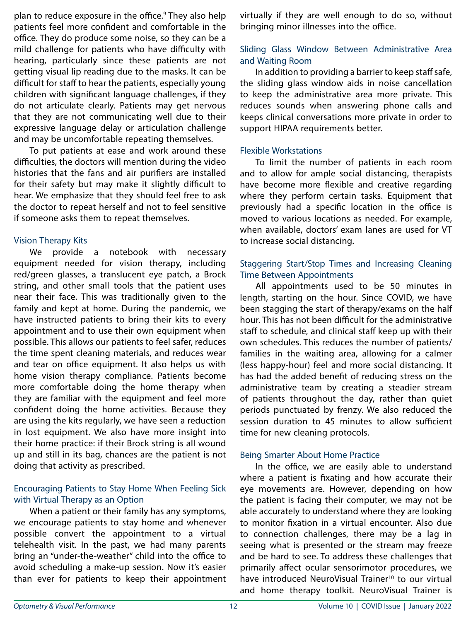plan to reduce exposure in the office.<sup>9</sup> They also help patients feel more confident and comfortable in the office. They do produce some noise, so they can be a mild challenge for patients who have difficulty with hearing, particularly since these patients are not getting visual lip reading due to the masks. It can be difficult for staff to hear the patients, especially young children with significant language challenges, if they do not articulate clearly. Patients may get nervous that they are not communicating well due to their expressive language delay or articulation challenge and may be uncomfortable repeating themselves.

To put patients at ease and work around these difficulties, the doctors will mention during the video histories that the fans and air purifiers are installed for their safety but may make it slightly difficult to hear. We emphasize that they should feel free to ask the doctor to repeat herself and not to feel sensitive if someone asks them to repeat themselves.

### Vision Therapy Kits

We provide a notebook with necessary equipment needed for vision therapy, including red/green glasses, a translucent eye patch, a Brock string, and other small tools that the patient uses near their face. This was traditionally given to the family and kept at home. During the pandemic, we have instructed patients to bring their kits to every appointment and to use their own equipment when possible. This allows our patients to feel safer, reduces the time spent cleaning materials, and reduces wear and tear on office equipment. It also helps us with home vision therapy compliance. Patients become more comfortable doing the home therapy when they are familiar with the equipment and feel more confident doing the home activities. Because they are using the kits regularly, we have seen a reduction in lost equipment. We also have more insight into their home practice: if their Brock string is all wound up and still in its bag, chances are the patient is not doing that activity as prescribed.

## Encouraging Patients to Stay Home When Feeling Sick with Virtual Therapy as an Option

When a patient or their family has any symptoms, we encourage patients to stay home and whenever possible convert the appointment to a virtual telehealth visit. In the past, we had many parents bring an "under-the-weather" child into the office to avoid scheduling a make-up session. Now it's easier than ever for patients to keep their appointment

virtually if they are well enough to do so, without bringing minor illnesses into the office.

## Sliding Glass Window Between Administrative Area and Waiting Room

In addition to providing a barrier to keep staff safe, the sliding glass window aids in noise cancellation to keep the administrative area more private. This reduces sounds when answering phone calls and keeps clinical conversations more private in order to support HIPAA requirements better.

### Flexible Workstations

To limit the number of patients in each room and to allow for ample social distancing, therapists have become more flexible and creative regarding where they perform certain tasks. Equipment that previously had a specific location in the office is moved to various locations as needed. For example, when available, doctors' exam lanes are used for VT to increase social distancing.

## Staggering Start/Stop Times and Increasing Cleaning Time Between Appointments

All appointments used to be 50 minutes in length, starting on the hour. Since COVID, we have been stagging the start of therapy/exams on the half hour. This has not been difficult for the administrative staff to schedule, and clinical staff keep up with their own schedules. This reduces the number of patients/ families in the waiting area, allowing for a calmer (less happy-hour) feel and more social distancing. It has had the added benefit of reducing stress on the administrative team by creating a steadier stream of patients throughout the day, rather than quiet periods punctuated by frenzy. We also reduced the session duration to 45 minutes to allow sufficient time for new cleaning protocols.

### Being Smarter About Home Practice

In the office, we are easily able to understand where a patient is fixating and how accurate their eye movements are. However, depending on how the patient is facing their computer, we may not be able accurately to understand where they are looking to monitor fixation in a virtual encounter. Also due to connection challenges, there may be a lag in seeing what is presented or the stream may freeze and be hard to see. To address these challenges that primarily affect ocular sensorimotor procedures, we have introduced NeuroVisual Trainer<sup>10</sup> to our virtual and home therapy toolkit. NeuroVisual Trainer is